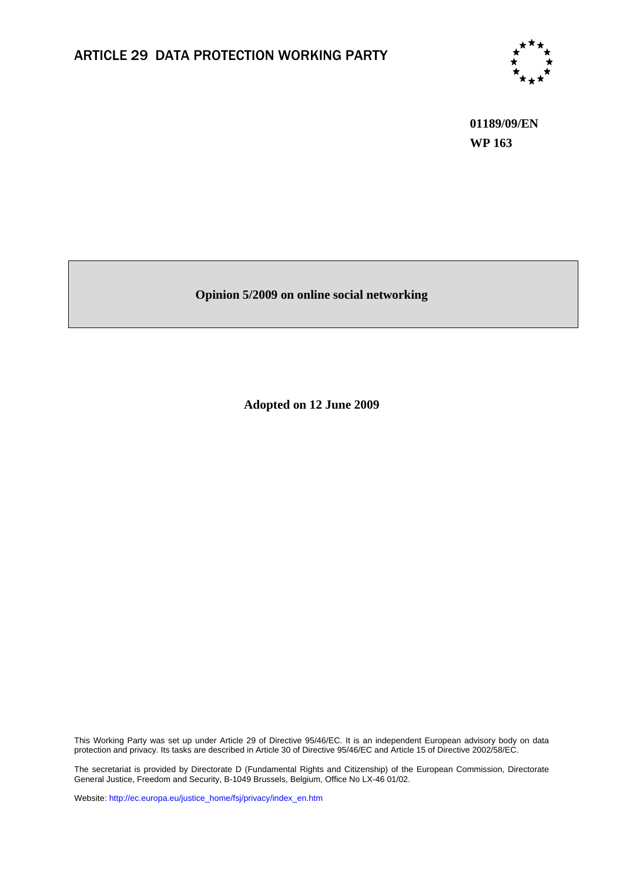

**01189/09/EN WP 163** 

**Opinion 5/2009 on online social networking** 

**Adopted on 12 June 2009** 

This Working Party was set up under Article 29 of Directive 95/46/EC. It is an independent European advisory body on data protection and privacy. Its tasks are described in Article 30 of Directive 95/46/EC and Article 15 of Directive 2002/58/EC.

The secretariat is provided by Directorate D (Fundamental Rights and Citizenship) of the European Commission, Directorate General Justice, Freedom and Security, B-1049 Brussels, Belgium, Office No LX-46 01/02.

Website: http://ec.europa.eu/justice\_home/fsj/privacy/index\_en.htm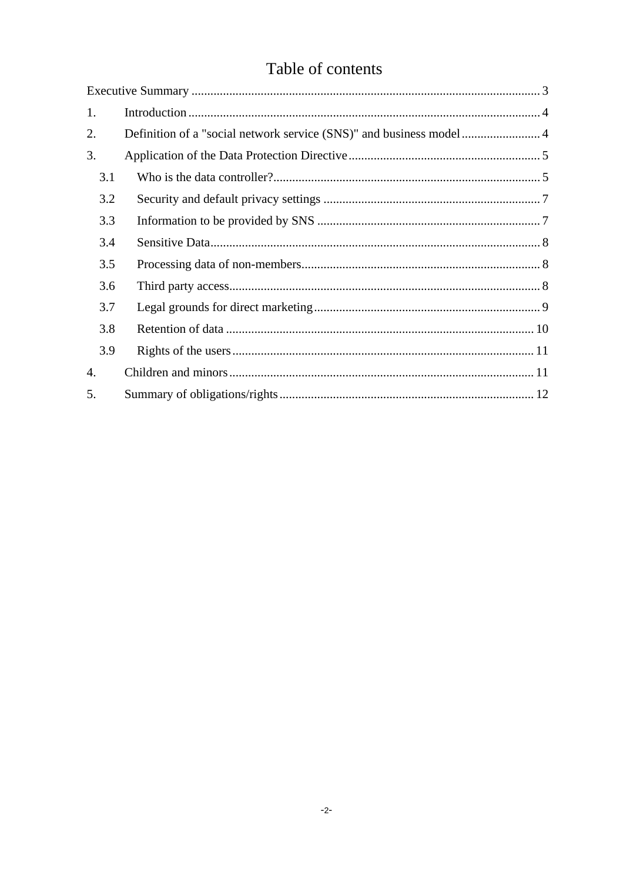# Table of contents

| 1.  |                                                                     |  |
|-----|---------------------------------------------------------------------|--|
| 2.  | Definition of a "social network service (SNS)" and business model 4 |  |
| 3.  |                                                                     |  |
| 3.1 |                                                                     |  |
| 3.2 |                                                                     |  |
| 3.3 |                                                                     |  |
| 3.4 |                                                                     |  |
| 3.5 |                                                                     |  |
| 3.6 |                                                                     |  |
| 3.7 |                                                                     |  |
| 3.8 |                                                                     |  |
| 3.9 |                                                                     |  |
| 4.  |                                                                     |  |
| 5.  |                                                                     |  |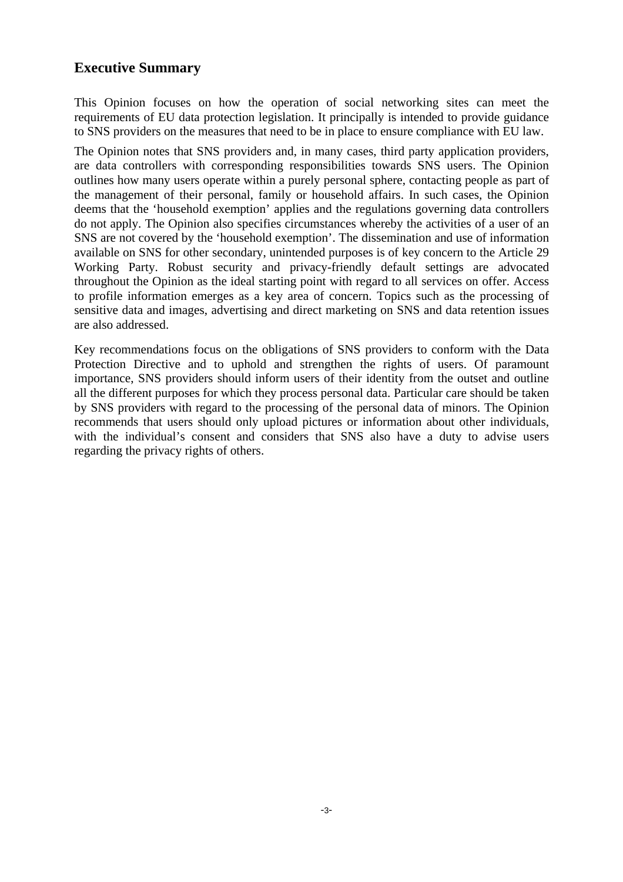### <span id="page-2-0"></span>**Executive Summary**

This Opinion focuses on how the operation of social networking sites can meet the requirements of EU data protection legislation. It principally is intended to provide guidance to SNS providers on the measures that need to be in place to ensure compliance with EU law.

The Opinion notes that SNS providers and, in many cases, third party application providers, are data controllers with corresponding responsibilities towards SNS users. The Opinion outlines how many users operate within a purely personal sphere, contacting people as part of the management of their personal, family or household affairs. In such cases, the Opinion deems that the 'household exemption' applies and the regulations governing data controllers do not apply. The Opinion also specifies circumstances whereby the activities of a user of an SNS are not covered by the 'household exemption'. The dissemination and use of information available on SNS for other secondary, unintended purposes is of key concern to the Article 29 Working Party. Robust security and privacy-friendly default settings are advocated throughout the Opinion as the ideal starting point with regard to all services on offer. Access to profile information emerges as a key area of concern. Topics such as the processing of sensitive data and images, advertising and direct marketing on SNS and data retention issues are also addressed.

Key recommendations focus on the obligations of SNS providers to conform with the Data Protection Directive and to uphold and strengthen the rights of users. Of paramount importance, SNS providers should inform users of their identity from the outset and outline all the different purposes for which they process personal data. Particular care should be taken by SNS providers with regard to the processing of the personal data of minors. The Opinion recommends that users should only upload pictures or information about other individuals, with the individual's consent and considers that SNS also have a duty to advise users regarding the privacy rights of others.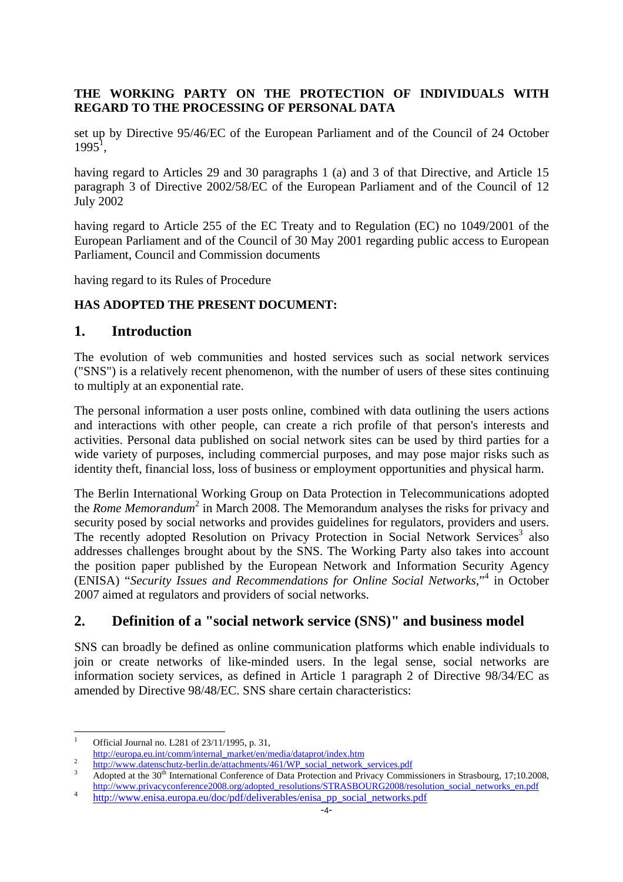### **THE WORKING PARTY ON THE PROTECTION OF INDIVIDUALS WITH REGARD TO THE PROCESSING OF PERSONAL DATA**

set up by Directive 95/46/EC of the European Parliament and of the Council of 24 October  $1995^1$ ,

having regard to Articles 29 and 30 paragraphs 1 (a) and 3 of that Directive, and Article 15 paragraph 3 of Directive 2002/58/EC of the European Parliament and of the Council of 12 July 2002

having regard to Article 255 of the EC Treaty and to Regulation (EC) no 1049/2001 of the European Parliament and of the Council of 30 May 2001 regarding public access to European Parliament, Council and Commission documents

having regard to its Rules of Procedure

### <span id="page-3-0"></span>**HAS ADOPTED THE PRESENT DOCUMENT:**

### **1. Introduction**

The evolution of web communities and hosted services such as social network services ("SNS") is a relatively recent phenomenon, with the number of users of these sites continuing to multiply at an exponential rate.

The personal information a user posts online, combined with data outlining the users actions and interactions with other people, can create a rich profile of that person's interests and activities. Personal data published on social network sites can be used by third parties for a wide variety of purposes, including commercial purposes, and may pose major risks such as identity theft, financial loss, loss of business or employment opportunities and physical harm.

The Berlin International Working Group on Data Protection in Telecommunications adopted the *Rome Memorandum*<sup>2</sup> in March 2008. The Memorandum analyses the risks for privacy and security posed by social networks and provides guidelines for regulators, providers and users. The recently adopted Resolution on Privacy Protection in Social Network Services<sup>3</sup> also addresses challenges brought about by the SNS. The Working Party also takes into account the position paper published by the European Network and Information Security Agency (ENISA) "*Security Issues and Recommendations for Online Social Networks,*" 4 in October 2007 aimed at regulators and providers of social networks.

# <span id="page-3-1"></span>**2. Definition of a "social network service (SNS)" and business model**

SNS can broadly be defined as online communication platforms which enable individuals to join or create networks of like-minded users. In the legal sense, social networks are information society services, as defined in Article 1 paragraph 2 of Directive 98/34/EC as amended by Directive 98/48/EC. SNS share certain characteristics:

 $\frac{1}{1}$ Official Journal no. L281 of 23/11/1995, p. 31,

[http://europa.eu.int/comm/internal\\_market/en/media/dataprot/index.htm](http://europa.eu.int/comm/internal_market/en/media/dataprot/index.htm) 2

 $\frac{1}{\text{http://www.datenschutz-berlin.de/attachments/461/WP} \text{social network services.pdf}}$ 

Adopted at the 30<sup>th</sup> International Conference of Data Protection and Privacy Commissioners in Strasbourg, 17;10.2008, http://www.privacyconference2008.org/adopted\_resolutions/STRASBOURG2008/resolution\_social\_networks\_en.pdf

http://www.enisa.europa.eu/doc/pdf/deliverables/enisa\_pp\_social\_networks.pdf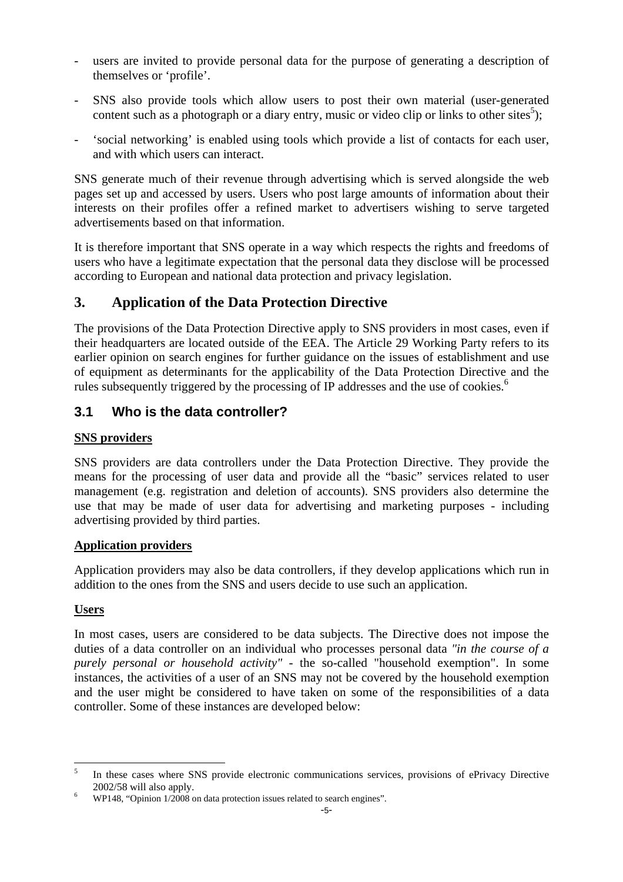- users are invited to provide personal data for the purpose of generating a description of themselves or 'profile'.
- SNS also provide tools which allow users to post their own material (user-generated content such as a photograph or a diary entry, music or video clip or links to other sites<sup>5</sup>);
- 'social networking' is enabled using tools which provide a list of contacts for each user, and with which users can interact.

SNS generate much of their revenue through advertising which is served alongside the web pages set up and accessed by users. Users who post large amounts of information about their interests on their profiles offer a refined market to advertisers wishing to serve targeted advertisements based on that information.

It is therefore important that SNS operate in a way which respects the rights and freedoms of users who have a legitimate expectation that the personal data they disclose will be processed according to European and national data protection and privacy legislation.

### <span id="page-4-0"></span>**3. Application of the Data Protection Directive**

The provisions of the Data Protection Directive apply to SNS providers in most cases, even if their headquarters are located outside of the EEA. The Article 29 Working Party refers to its earlier opinion on search engines for further guidance on the issues of establishment and use of equipment as determinants for the applicability of the Data Protection Directive and the rules subsequently triggered by the processing of IP addresses and the use of cookies.<sup>6</sup>

### <span id="page-4-1"></span>**3.1 Who is the data controller?**

#### **SNS providers**

SNS providers are data controllers under the Data Protection Directive. They provide the means for the processing of user data and provide all the "basic" services related to user management (e.g. registration and deletion of accounts). SNS providers also determine the use that may be made of user data for advertising and marketing purposes - including advertising provided by third parties.

#### **Application providers**

Application providers may also be data controllers, if they develop applications which run in addition to the ones from the SNS and users decide to use such an application.

### **Users**

In most cases, users are considered to be data subjects. The Directive does not impose the duties of a data controller on an individual who processes personal data *"in the course of a purely personal or household activity"* - the so-called "household exemption". In some instances, the activities of a user of an SNS may not be covered by the household exemption and the user might be considered to have taken on some of the responsibilities of a data controller. Some of these instances are developed below:

 5 In these cases where SNS provide electronic communications services, provisions of ePrivacy Directive  $2002/58$  will also apply.

WP148, "Opinion 1/2008 on data protection issues related to search engines".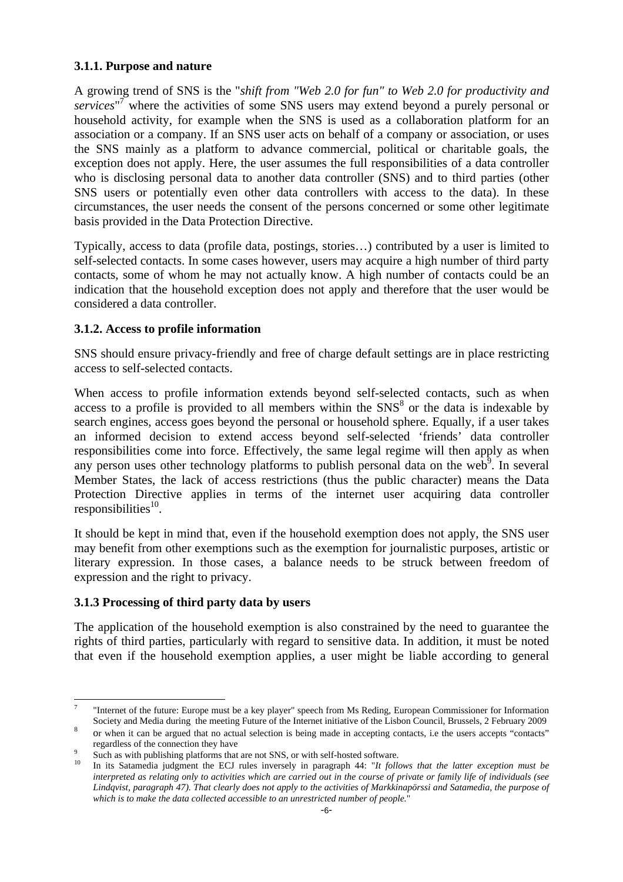#### **3.1.1. Purpose and nature**

A growing trend of SNS is the "*shift from "Web 2.0 for fun" to Web 2.0 for productivity and*  services<sup>"7</sup> where the activities of some SNS users may extend beyond a purely personal or household activity, for example when the SNS is used as a collaboration platform for an association or a company. If an SNS user acts on behalf of a company or association, or uses the SNS mainly as a platform to advance commercial, political or charitable goals, the exception does not apply. Here, the user assumes the full responsibilities of a data controller who is disclosing personal data to another data controller (SNS) and to third parties (other SNS users or potentially even other data controllers with access to the data). In these circumstances, the user needs the consent of the persons concerned or some other legitimate basis provided in the Data Protection Directive.

Typically, access to data (profile data, postings, stories…) contributed by a user is limited to self-selected contacts. In some cases however, users may acquire a high number of third party contacts, some of whom he may not actually know. A high number of contacts could be an indication that the household exception does not apply and therefore that the user would be considered a data controller.

#### **3.1.2. Access to profile information**

SNS should ensure privacy-friendly and free of charge default settings are in place restricting access to self-selected contacts.

When access to profile information extends beyond self-selected contacts, such as when access to a profile is provided to all members within the  $SNS<sup>8</sup>$  or the data is indexable by search engines, access goes beyond the personal or household sphere. Equally, if a user takes an informed decision to extend access beyond self-selected 'friends' data controller responsibilities come into force. Effectively, the same legal regime will then apply as when any person uses other technology platforms to publish personal data on the web<sup>9</sup>. In several Member States, the lack of access restrictions (thus the public character) means the Data Protection Directive applies in terms of the internet user acquiring data controller  $responsibleilities<sup>10</sup>$ .

It should be kept in mind that, even if the household exemption does not apply, the SNS user may benefit from other exemptions such as the exemption for journalistic purposes, artistic or literary expression. In those cases, a balance needs to be struck between freedom of expression and the right to privacy.

#### **3.1.3 Processing of third party data by users**

The application of the household exemption is also constrained by the need to guarantee the rights of third parties, particularly with regard to sensitive data. In addition, it must be noted that even if the household exemption applies, a user might be liable according to general

<sup>-&</sup>lt;br>7 "Internet of the future: Europe must be a key player" speech from Ms Reding, European Commissioner for Information Society and Media during the meeting Future of the Internet initiative of the Lisbon Council, Brussels, 2 February 2009

or when it can be argued that no actual selection is being made in accepting contacts, i.e the users accepts "contacts"

regardless of the connection they have<br>Such as with publishing platforms that are not SNS, or with self-hosted software.

Such as with publishing platforms that are not SNS, or with self-hosted software. 10 In its Satamedia judgment the ECJ rules inversely in paragraph 44: "*It follows that the latter exception must be interpreted as relating only to activities which are carried out in the course of private or family life of individuals (see Lindqvist, paragraph 47). That clearly does not apply to the activities of Markkinapörssi and Satamedia, the purpose of which is to make the data collected accessible to an unrestricted number of people.*"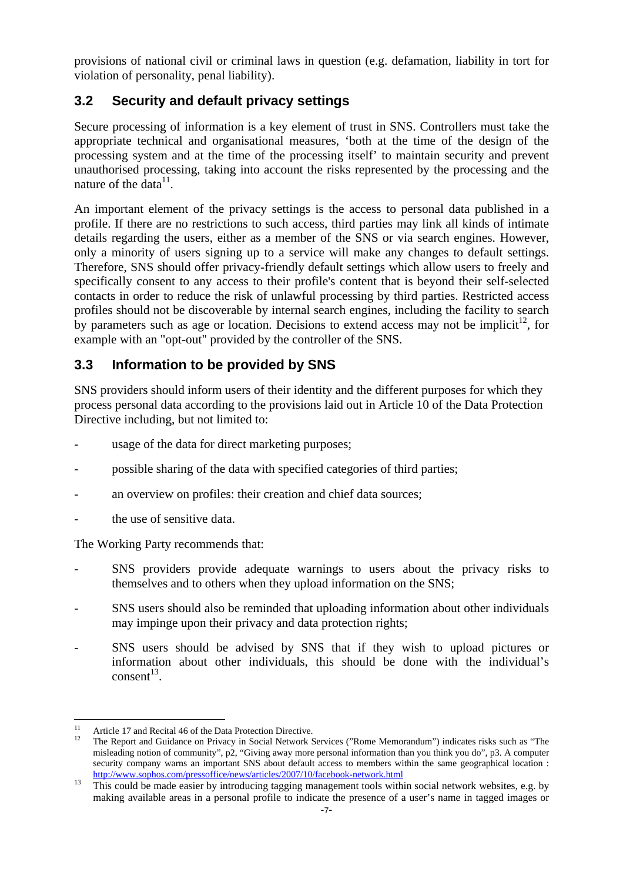provisions of national civil or criminal laws in question (e.g. defamation, liability in tort for violation of personality, penal liability).

# <span id="page-6-0"></span>**3.2 Security and default privacy settings**

Secure processing of information is a key element of trust in SNS. Controllers must take the appropriate technical and organisational measures, 'both at the time of the design of the processing system and at the time of the processing itself' to maintain security and prevent unauthorised processing, taking into account the risks represented by the processing and the nature of the data $^{11}$ .

An important element of the privacy settings is the access to personal data published in a profile. If there are no restrictions to such access, third parties may link all kinds of intimate details regarding the users, either as a member of the SNS or via search engines. However, only a minority of users signing up to a service will make any changes to default settings. Therefore, SNS should offer privacy-friendly default settings which allow users to freely and specifically consent to any access to their profile's content that is beyond their self-selected contacts in order to reduce the risk of unlawful processing by third parties. Restricted access profiles should not be discoverable by internal search engines, including the facility to search by parameters such as age or location. Decisions to extend access may not be implicit<sup>12</sup>, for example with an "opt-out" provided by the controller of the SNS.

# <span id="page-6-1"></span>**3.3 Information to be provided by SNS**

SNS providers should inform users of their identity and the different purposes for which they process personal data according to the provisions laid out in Article 10 of the Data Protection Directive including, but not limited to:

- usage of the data for direct marketing purposes;
- possible sharing of the data with specified categories of third parties;
- an overview on profiles: their creation and chief data sources;
- the use of sensitive data.

The Working Party recommends that:

- SNS providers provide adequate warnings to users about the privacy risks to themselves and to others when they upload information on the SNS;
- SNS users should also be reminded that uploading information about other individuals may impinge upon their privacy and data protection rights;
- SNS users should be advised by SNS that if they wish to upload pictures or information about other individuals, this should be done with the individual's  $consent<sup>13</sup>$ .

 $\overline{11}$ <sup>11</sup> Article 17 and Recital 46 of the Data Protection Directive.<br><sup>12</sup> The Benert and Guidance on Privacy in Social Naturals S

<sup>12</sup> The Report and Guidance on Privacy in Social Network Services ("Rome Memorandum") indicates risks such as "The misleading notion of community", p2, "Giving away more personal information than you think you do", p3. A computer security company warns an important SNS about default access to members within the same geographical location :<br>http://www.sophos.com/pressoffice/news/articles/2007/10/facebook-network.html

<sup>&</sup>lt;sup>13</sup> This could be made easier by introducing tagging management tools within social network websites, e.g. by making available areas in a personal profile to indicate the presence of a user's name in tagged images or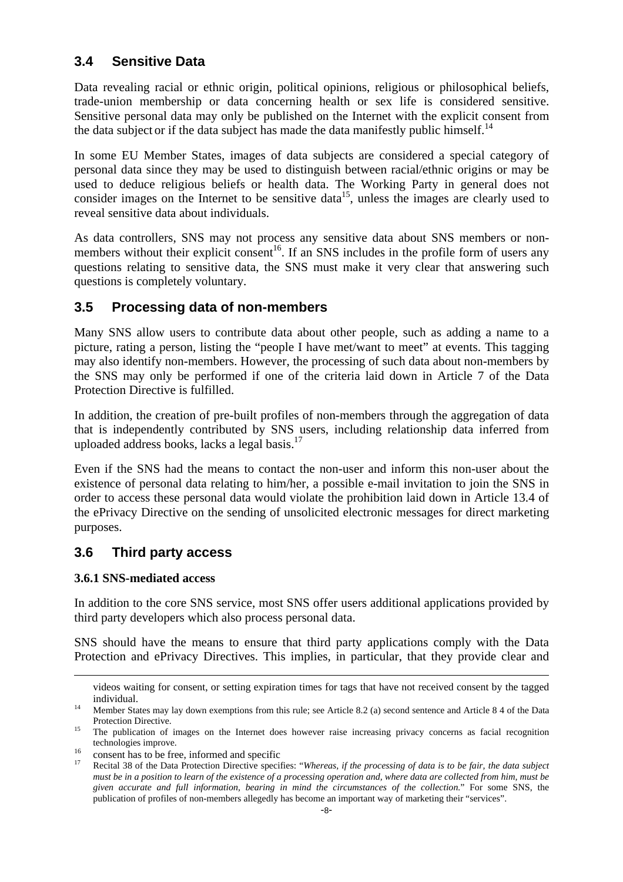# <span id="page-7-0"></span>**3.4 Sensitive Data**

Data revealing racial or ethnic origin, political opinions, religious or philosophical beliefs, trade-union membership or data concerning health or sex life is considered sensitive. Sensitive personal data may only be published on the Internet with the explicit consent from the data subject or if the data subject has made the data manifestly public himself.<sup>14</sup>

In some EU Member States, images of data subjects are considered a special category of personal data since they may be used to distinguish between racial/ethnic origins or may be used to deduce religious beliefs or health data. The Working Party in general does not consider images on the Internet to be sensitive data<sup>15</sup>, unless the images are clearly used to reveal sensitive data about individuals.

As data controllers, SNS may not process any sensitive data about SNS members or nonmembers without their explicit consent<sup>16</sup>. If an SNS includes in the profile form of users any questions relating to sensitive data, the SNS must make it very clear that answering such questions is completely voluntary.

### <span id="page-7-1"></span>**3.5 Processing data of non-members**

Many SNS allow users to contribute data about other people, such as adding a name to a picture, rating a person, listing the "people I have met/want to meet" at events. This tagging may also identify non-members. However, the processing of such data about non-members by the SNS may only be performed if one of the criteria laid down in Article 7 of the Data Protection Directive is fulfilled.

In addition, the creation of pre-built profiles of non-members through the aggregation of data that is independently contributed by SNS users, including relationship data inferred from uploaded address books, lacks a legal basis. $17$ 

Even if the SNS had the means to contact the non-user and inform this non-user about the existence of personal data relating to him/her, a possible e-mail invitation to join the SNS in order to access these personal data would violate the prohibition laid down in Article 13.4 of the ePrivacy Directive on the sending of unsolicited electronic messages for direct marketing purposes.

### <span id="page-7-2"></span>**3.6 Third party access**

### **3.6.1 SNS-mediated access**

In addition to the core SNS service, most SNS offer users additional applications provided by third party developers which also process personal data.

SNS should have the means to ensure that third party applications comply with the Data Protection and ePrivacy Directives. This implies, in particular, that they provide clear and

videos waiting for consent, or setting expiration times for tags that have not received consent by the tagged

individual. 14 Member States may lay down exemptions from this rule; see Article 8.2 (a) second sentence and Article 8 4 of the Data Protection Directive.<br><sup>15</sup> The publication of images on the Internet does however raise increasing privacy concerns as facial recognition

technologies improve.<br><sup>16</sup> consent has to be free, informed and specific <sup>16</sup><br><sup>17</sup> Recital 38 of the Data Protection Directive specifies: "*Whereas, if the processing of data is to be fair, the data subject must be in a position to learn of the existence of a processing operation and, where data are collected from him, must be given accurate and full information, bearing in mind the circumstances of the collection.*" For some SNS, the publication of profiles of non-members allegedly has become an important way of marketing their "services".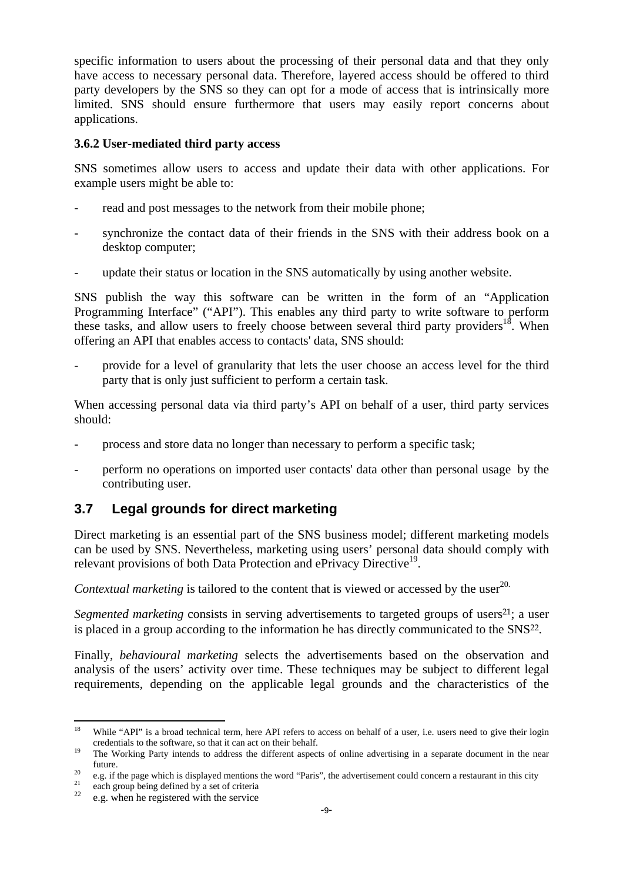specific information to users about the processing of their personal data and that they only have access to necessary personal data. Therefore, layered access should be offered to third party developers by the SNS so they can opt for a mode of access that is intrinsically more limited. SNS should ensure furthermore that users may easily report concerns about applications.

### **3.6.2 User-mediated third party access**

SNS sometimes allow users to access and update their data with other applications. For example users might be able to:

- read and post messages to the network from their mobile phone;
- synchronize the contact data of their friends in the SNS with their address book on a desktop computer;
- update their status or location in the SNS automatically by using another website.

SNS publish the way this software can be written in the form of an "Application Programming Interface" ("API"). This enables any third party to write software to perform these tasks, and allow users to freely choose between several third party providers<sup>18</sup>. When offering an API that enables access to contacts' data, SNS should:

provide for a level of granularity that lets the user choose an access level for the third party that is only just sufficient to perform a certain task.

When accessing personal data via third party's API on behalf of a user, third party services should:

- process and store data no longer than necessary to perform a specific task;
- perform no operations on imported user contacts' data other than personal usage by the contributing user.

# <span id="page-8-0"></span>**3.7 Legal grounds for direct marketing**

Direct marketing is an essential part of the SNS business model; different marketing models can be used by SNS. Nevertheless, marketing using users' personal data should comply with relevant provisions of both Data Protection and ePrivacy Directive<sup>19</sup>.

*Contextual marketing* is tailored to the content that is viewed or accessed by the user<sup>20.</sup>

*Segmented marketing* consists in serving advertisements to targeted groups of users<sup>21</sup>; a user is placed in a group according to the information he has directly communicated to the SNS22.

Finally, *behavioural marketing* selects the advertisements based on the observation and analysis of the users' activity over time. These techniques may be subject to different legal requirements, depending on the applicable legal grounds and the characteristics of the

<sup>18</sup> While "API" is a broad technical term, here API refers to access on behalf of a user, i.e. users need to give their login credentials to the software, so that it can act on their behalf. 19 The Working Party intends to address the different aspects of online advertising in a separate document in the near

future.<br>
<sup>20</sup> e.g. if the page which is displayed mentions the word "Paris", the advertisement could concern a restaurant in this city each group being defined by a set of criteria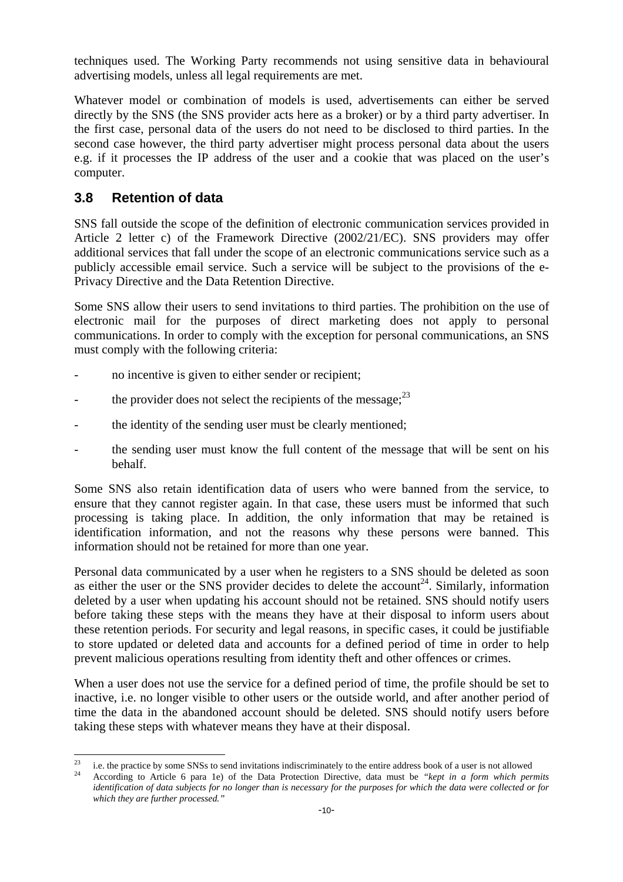techniques used. The Working Party recommends not using sensitive data in behavioural advertising models, unless all legal requirements are met.

Whatever model or combination of models is used, advertisements can either be served directly by the SNS (the SNS provider acts here as a broker) or by a third party advertiser. In the first case, personal data of the users do not need to be disclosed to third parties. In the second case however, the third party advertiser might process personal data about the users e.g. if it processes the IP address of the user and a cookie that was placed on the user's computer.

### <span id="page-9-0"></span>**3.8 Retention of data**

SNS fall outside the scope of the definition of electronic communication services provided in Article 2 letter c) of the Framework Directive (2002/21/EC). SNS providers may offer additional services that fall under the scope of an electronic communications service such as a publicly accessible email service. Such a service will be subject to the provisions of the e-Privacy Directive and the Data Retention Directive.

Some SNS allow their users to send invitations to third parties. The prohibition on the use of electronic mail for the purposes of direct marketing does not apply to personal communications. In order to comply with the exception for personal communications, an SNS must comply with the following criteria:

- no incentive is given to either sender or recipient;
- the provider does not select the recipients of the message; $^{23}$
- the identity of the sending user must be clearly mentioned;
- the sending user must know the full content of the message that will be sent on his behalf.

Some SNS also retain identification data of users who were banned from the service, to ensure that they cannot register again. In that case, these users must be informed that such processing is taking place. In addition, the only information that may be retained is identification information, and not the reasons why these persons were banned. This information should not be retained for more than one year.

Personal data communicated by a user when he registers to a SNS should be deleted as soon as either the user or the SNS provider decides to delete the account<sup>24</sup>. Similarly, information deleted by a user when updating his account should not be retained. SNS should notify users before taking these steps with the means they have at their disposal to inform users about these retention periods. For security and legal reasons, in specific cases, it could be justifiable to store updated or deleted data and accounts for a defined period of time in order to help prevent malicious operations resulting from identity theft and other offences or crimes.

When a user does not use the service for a defined period of time, the profile should be set to inactive, i.e. no longer visible to other users or the outside world, and after another period of time the data in the abandoned account should be deleted. SNS should notify users before taking these steps with whatever means they have at their disposal.

<sup>23</sup> <sup>23</sup> i.e. the practice by some SNSs to send invitations indiscriminately to the entire address book of a user is not allowed<br><sup>24</sup> According to Article 6 para 1e) of the Data Protection Directive, data must be "kept in a f

*identification of data subjects for no longer than is necessary for the purposes for which the data were collected or for which they are further processed."*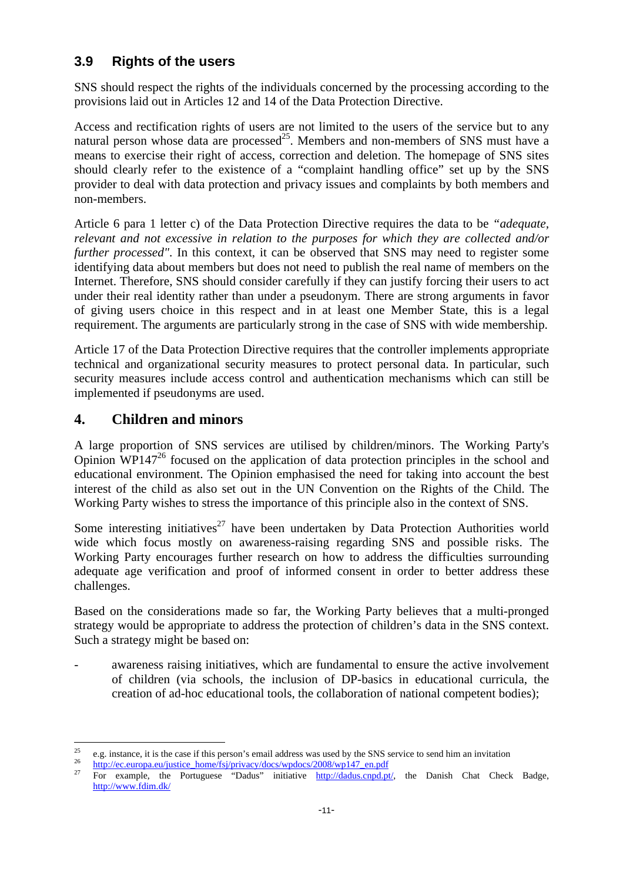# <span id="page-10-0"></span>**3.9 Rights of the users**

SNS should respect the rights of the individuals concerned by the processing according to the provisions laid out in Articles 12 and 14 of the Data Protection Directive.

Access and rectification rights of users are not limited to the users of the service but to any natural person whose data are processed<sup>25</sup>. Members and non-members of SNS must have a means to exercise their right of access, correction and deletion. The homepage of SNS sites should clearly refer to the existence of a "complaint handling office" set up by the SNS provider to deal with data protection and privacy issues and complaints by both members and non-members.

Article 6 para 1 letter c) of the Data Protection Directive requires the data to be *"adequate, relevant and not excessive in relation to the purposes for which they are collected and/or further processed"*. In this context, it can be observed that SNS may need to register some identifying data about members but does not need to publish the real name of members on the Internet. Therefore, SNS should consider carefully if they can justify forcing their users to act under their real identity rather than under a pseudonym. There are strong arguments in favor of giving users choice in this respect and in at least one Member State, this is a legal requirement. The arguments are particularly strong in the case of SNS with wide membership.

Article 17 of the Data Protection Directive requires that the controller implements appropriate technical and organizational security measures to protect personal data. In particular, such security measures include access control and authentication mechanisms which can still be implemented if pseudonyms are used.

### <span id="page-10-1"></span>**4. Children and minors**

A large proportion of SNS services are utilised by children/minors. The Working Party's Opinion WP147<sup>26</sup> focused on the application of data protection principles in the school and educational environment. The Opinion emphasised the need for taking into account the best interest of the child as also set out in the UN Convention on the Rights of the Child. The Working Party wishes to stress the importance of this principle also in the context of SNS.

Some interesting initiatives<sup>27</sup> have been undertaken by Data Protection Authorities world wide which focus mostly on awareness-raising regarding SNS and possible risks. The Working Party encourages further research on how to address the difficulties surrounding adequate age verification and proof of informed consent in order to better address these challenges.

Based on the considerations made so far, the Working Party believes that a multi-pronged strategy would be appropriate to address the protection of children's data in the SNS context. Such a strategy might be based on:

awareness raising initiatives, which are fundamental to ensure the active involvement of children (via schools, the inclusion of DP-basics in educational curricula, the creation of ad-hoc educational tools, the collaboration of national competent bodies);

 $25$ 

<sup>&</sup>lt;sup>25</sup> [e.g. instance, it is the case if this person's email address was used by the SNS se](http://ec.europa.eu/justice_home/fsj/privacy/docs/wpdocs/2008/wp147_en.pdf)rvice to send him an invitation<br><sup>26</sup> http://ec.europa.eu/justice home/fsj/privacy/docs/wpdocs/2008/wp147 en.pdf<br><sup>27</sup> For example, the <http://www.fdim.dk/>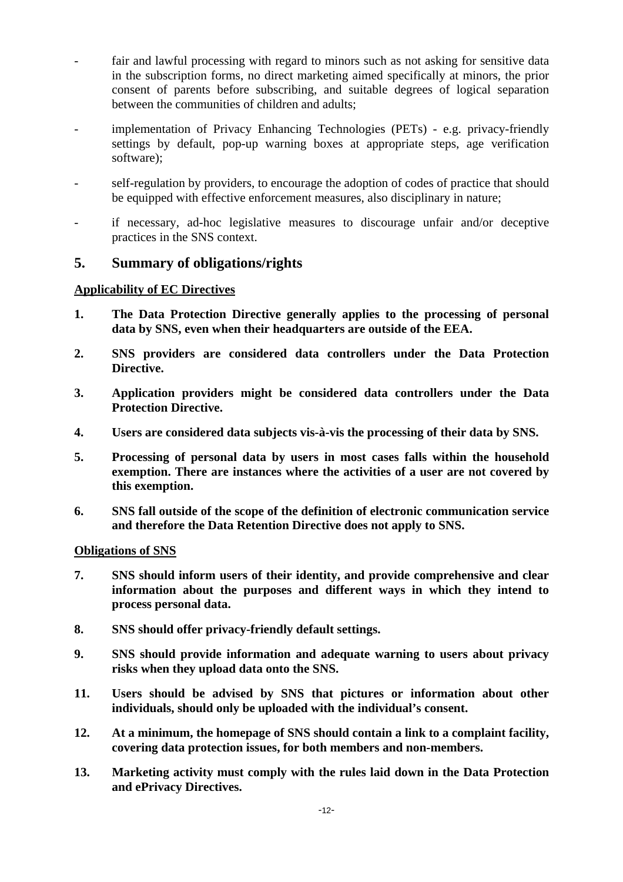- fair and lawful processing with regard to minors such as not asking for sensitive data in the subscription forms, no direct marketing aimed specifically at minors, the prior consent of parents before subscribing, and suitable degrees of logical separation between the communities of children and adults;
- implementation of Privacy Enhancing Technologies (PETs) e.g. privacy-friendly settings by default, pop-up warning boxes at appropriate steps, age verification software);
- self-regulation by providers, to encourage the adoption of codes of practice that should be equipped with effective enforcement measures, also disciplinary in nature;
- if necessary, ad-hoc legislative measures to discourage unfair and/or deceptive practices in the SNS context.

### <span id="page-11-0"></span>**5. Summary of obligations/rights**

#### **Applicability of EC Directives**

- **1. The Data Protection Directive generally applies to the processing of personal data by SNS, even when their headquarters are outside of the EEA.**
- **2. SNS providers are considered data controllers under the Data Protection Directive.**
- **3. Application providers might be considered data controllers under the Data Protection Directive.**
- **4. Users are considered data subjects vis-à-vis the processing of their data by SNS.**
- **5. Processing of personal data by users in most cases falls within the household exemption. There are instances where the activities of a user are not covered by this exemption.**
- **6. SNS fall outside of the scope of the definition of electronic communication service and therefore the Data Retention Directive does not apply to SNS.**

#### **Obligations of SNS**

- **7. SNS should inform users of their identity, and provide comprehensive and clear information about the purposes and different ways in which they intend to process personal data.**
- **8. SNS should offer privacy-friendly default settings.**
- **9. SNS should provide information and adequate warning to users about privacy risks when they upload data onto the SNS.**
- **11. Users should be advised by SNS that pictures or information about other individuals, should only be uploaded with the individual's consent.**
- **12. At a minimum, the homepage of SNS should contain a link to a complaint facility, covering data protection issues, for both members and non-members.**
- **13. Marketing activity must comply with the rules laid down in the Data Protection and ePrivacy Directives.**